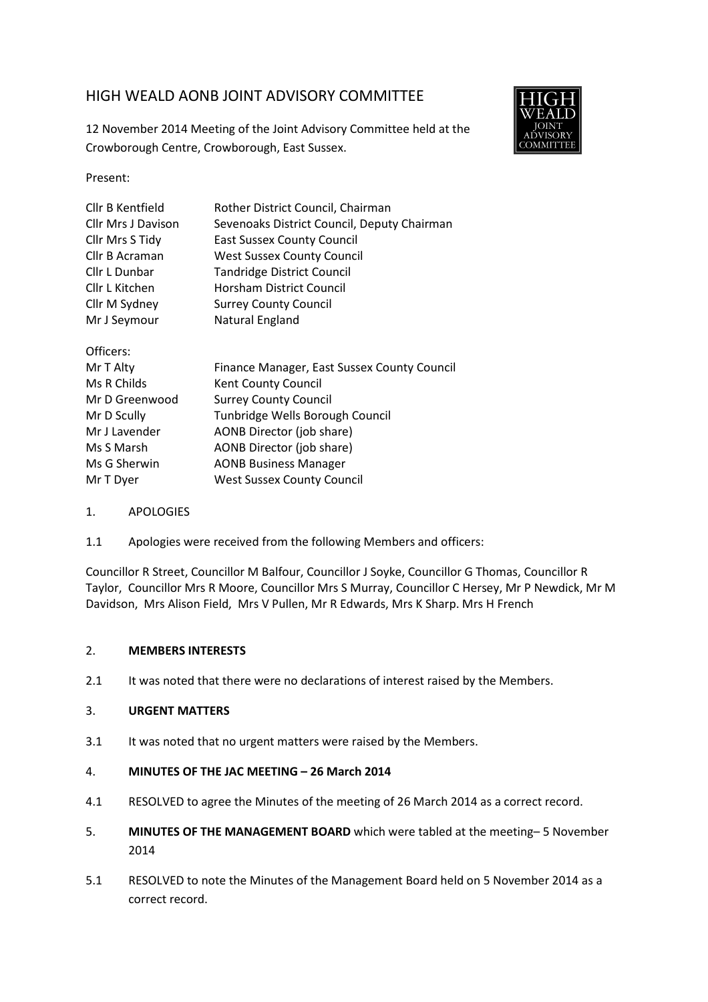# HIGH WEALD AONB JOINT ADVISORY COMMITTEE

12 November 2014 Meeting of the Joint Advisory Committee held at the Crowborough Centre, Crowborough, East Sussex.



Present:

| Cllr B Kentfield          | Rother District Council, Chairman           |
|---------------------------|---------------------------------------------|
| <b>Cllr Mrs J Davison</b> | Sevenoaks District Council, Deputy Chairman |
| Cllr Mrs S Tidy           | <b>East Sussex County Council</b>           |
| Cllr B Acraman            | <b>West Sussex County Council</b>           |
| Cllr L Dunbar             | <b>Tandridge District Council</b>           |
| Cllr L Kitchen            | <b>Horsham District Council</b>             |
| Cllr M Sydney             | <b>Surrey County Council</b>                |
| Mr J Seymour              | Natural England                             |
| Officers:                 |                                             |
| Mr T Alty                 | Finance Manager, East Sussex County Council |
| Ms R Childs               | Kent County Council                         |
| Mr D Greenwood            | <b>Surrey County Council</b>                |
| Mr D Scully               | Tunhridge Wells Borough Council             |

| Mr D Scully   | Tunbridge Wells Borough Council   |
|---------------|-----------------------------------|
| Mr J Lavender | AONB Director (job share)         |
| Ms S Marsh    | AONB Director (job share)         |
| Ms G Sherwin  | <b>AONB Business Manager</b>      |
| Mr T Dyer     | <b>West Sussex County Council</b> |

- 1. APOLOGIES
- 1.1 Apologies were received from the following Members and officers:

Councillor R Street, Councillor M Balfour, Councillor J Soyke, Councillor G Thomas, Councillor R Taylor, Councillor Mrs R Moore, Councillor Mrs S Murray, Councillor C Hersey, Mr P Newdick, Mr M Davidson, Mrs Alison Field, Mrs V Pullen, Mr R Edwards, Mrs K Sharp. Mrs H French

#### 2. **MEMBERS INTERESTS**

2.1 It was noted that there were no declarations of interest raised by the Members.

#### 3. **URGENT MATTERS**

3.1 It was noted that no urgent matters were raised by the Members.

#### 4. **MINUTES OF THE JAC MEETING – 26 March 2014**

- 4.1 RESOLVED to agree the Minutes of the meeting of 26 March 2014 as a correct record.
- 5. **MINUTES OF THE MANAGEMENT BOARD** which were tabled at the meeting– 5 November 2014
- 5.1 RESOLVED to note the Minutes of the Management Board held on 5 November 2014 as a correct record.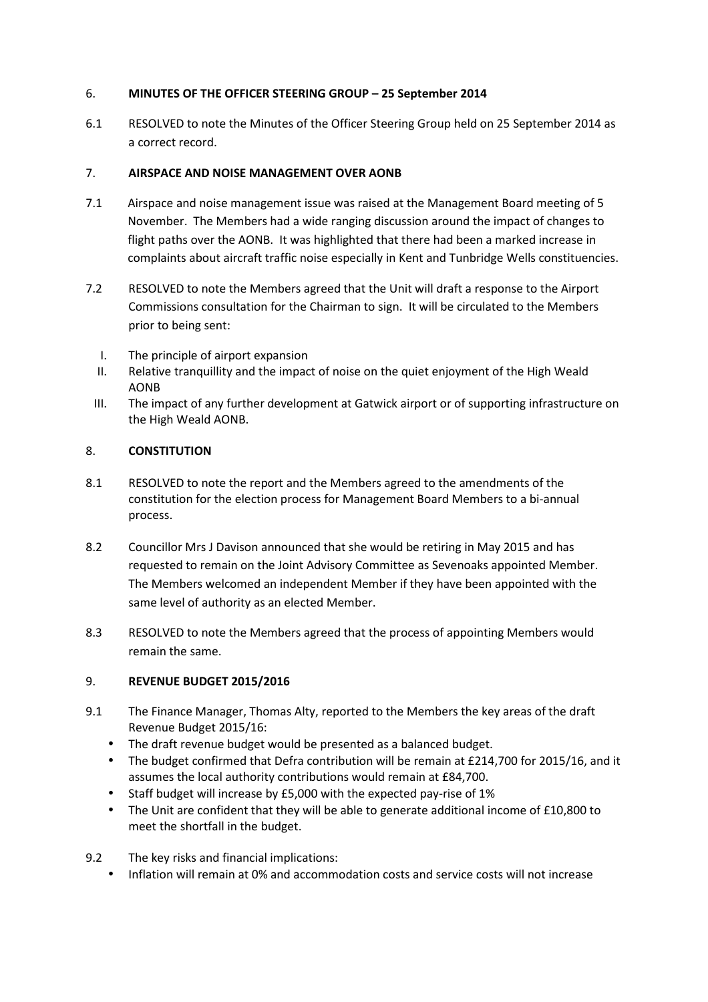## 6. **MINUTES OF THE OFFICER STEERING GROUP – 25 September 2014**

6.1 RESOLVED to note the Minutes of the Officer Steering Group held on 25 September 2014 as a correct record.

## 7. **AIRSPACE AND NOISE MANAGEMENT OVER AONB**

- 7.1 Airspace and noise management issue was raised at the Management Board meeting of 5 November. The Members had a wide ranging discussion around the impact of changes to flight paths over the AONB. It was highlighted that there had been a marked increase in complaints about aircraft traffic noise especially in Kent and Tunbridge Wells constituencies.
- 7.2 RESOLVED to note the Members agreed that the Unit will draft a response to the Airport Commissions consultation for the Chairman to sign. It will be circulated to the Members prior to being sent:
	- I. The principle of airport expansion
	- II. Relative tranquillity and the impact of noise on the quiet enjoyment of the High Weald AONB
	- III. The impact of any further development at Gatwick airport or of supporting infrastructure on the High Weald AONB.

## 8. **CONSTITUTION**

- 8.1 RESOLVED to note the report and the Members agreed to the amendments of the constitution for the election process for Management Board Members to a bi-annual process.
- 8.2 Councillor Mrs J Davison announced that she would be retiring in May 2015 and has requested to remain on the Joint Advisory Committee as Sevenoaks appointed Member. The Members welcomed an independent Member if they have been appointed with the same level of authority as an elected Member.
- 8.3 RESOLVED to note the Members agreed that the process of appointing Members would remain the same.

# 9. **REVENUE BUDGET 2015/2016**

- 9.1 The Finance Manager, Thomas Alty, reported to the Members the key areas of the draft Revenue Budget 2015/16:
	- The draft revenue budget would be presented as a balanced budget.
	- The budget confirmed that Defra contribution will be remain at £214,700 for 2015/16, and it assumes the local authority contributions would remain at £84,700.
	- Staff budget will increase by £5,000 with the expected pay-rise of 1%
	- The Unit are confident that they will be able to generate additional income of £10,800 to meet the shortfall in the budget.
- 9.2 The key risks and financial implications:
	- Inflation will remain at 0% and accommodation costs and service costs will not increase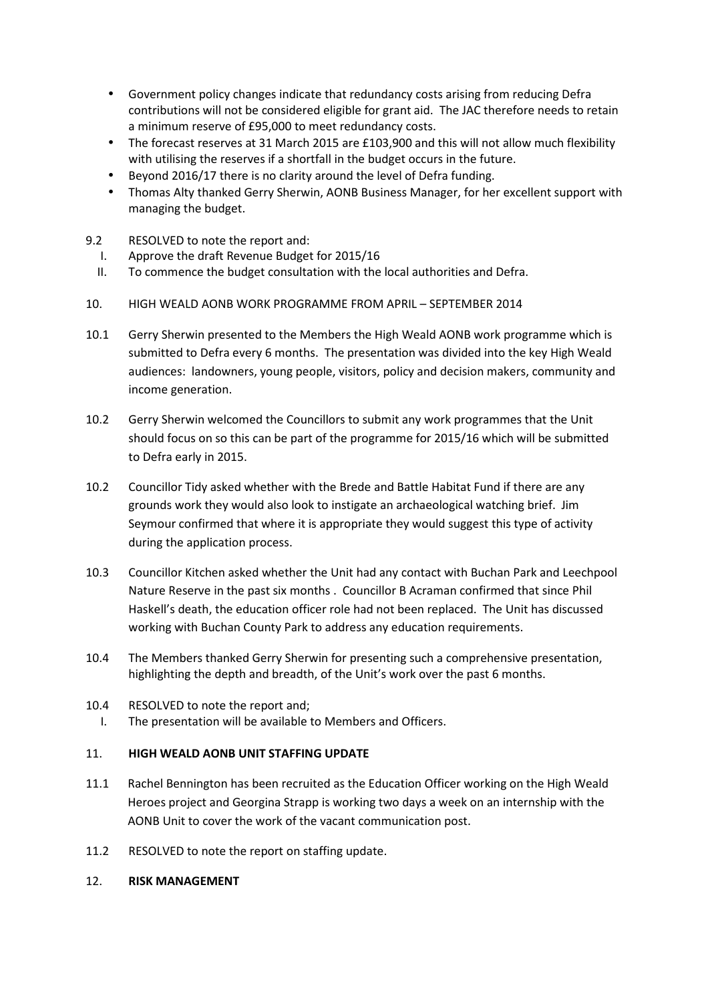- Government policy changes indicate that redundancy costs arising from reducing Defra contributions will not be considered eligible for grant aid. The JAC therefore needs to retain a minimum reserve of £95,000 to meet redundancy costs.
- The forecast reserves at 31 March 2015 are £103,900 and this will not allow much flexibility with utilising the reserves if a shortfall in the budget occurs in the future.
- Beyond 2016/17 there is no clarity around the level of Defra funding.
- Thomas Alty thanked Gerry Sherwin, AONB Business Manager, for her excellent support with managing the budget.
- 9.2 RESOLVED to note the report and:
	- I. Approve the draft Revenue Budget for 2015/16
	- II. To commence the budget consultation with the local authorities and Defra.
- 10. HIGH WEALD AONB WORK PROGRAMME FROM APRIL SEPTEMBER 2014
- 10.1 Gerry Sherwin presented to the Members the High Weald AONB work programme which is submitted to Defra every 6 months. The presentation was divided into the key High Weald audiences: landowners, young people, visitors, policy and decision makers, community and income generation.
- 10.2 Gerry Sherwin welcomed the Councillors to submit any work programmes that the Unit should focus on so this can be part of the programme for 2015/16 which will be submitted to Defra early in 2015.
- 10.2 Councillor Tidy asked whether with the Brede and Battle Habitat Fund if there are any grounds work they would also look to instigate an archaeological watching brief. Jim Seymour confirmed that where it is appropriate they would suggest this type of activity during the application process.
- 10.3 Councillor Kitchen asked whether the Unit had any contact with Buchan Park and Leechpool Nature Reserve in the past six months . Councillor B Acraman confirmed that since Phil Haskell's death, the education officer role had not been replaced. The Unit has discussed working with Buchan County Park to address any education requirements.
- 10.4 The Members thanked Gerry Sherwin for presenting such a comprehensive presentation, highlighting the depth and breadth, of the Unit's work over the past 6 months.
- 10.4 RESOLVED to note the report and;
	- I. The presentation will be available to Members and Officers.

#### 11. **HIGH WEALD AONB UNIT STAFFING UPDATE**

- 11.1 Rachel Bennington has been recruited as the Education Officer working on the High Weald Heroes project and Georgina Strapp is working two days a week on an internship with the AONB Unit to cover the work of the vacant communication post.
- 11.2 RESOLVED to note the report on staffing update.
- 12. **RISK MANAGEMENT**